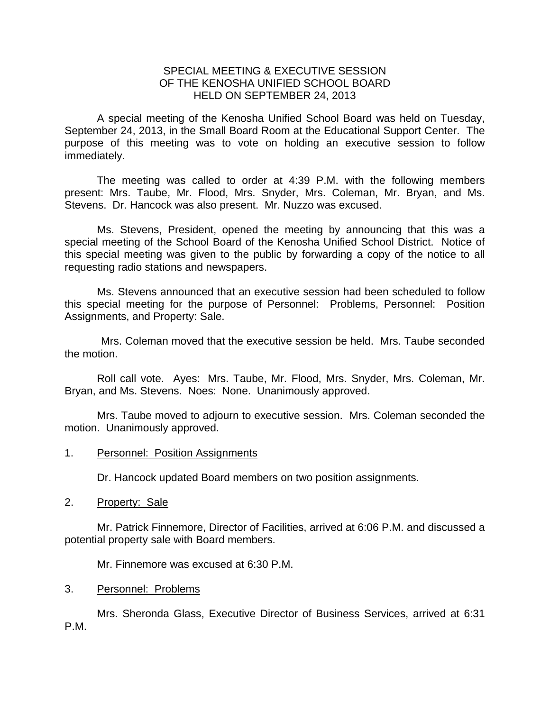## SPECIAL MEETING & EXECUTIVE SESSION OF THE KENOSHA UNIFIED SCHOOL BOARD HELD ON SEPTEMBER 24, 2013

A special meeting of the Kenosha Unified School Board was held on Tuesday, September 24, 2013, in the Small Board Room at the Educational Support Center. The purpose of this meeting was to vote on holding an executive session to follow immediately.

 The meeting was called to order at 4:39 P.M. with the following members present: Mrs. Taube, Mr. Flood, Mrs. Snyder, Mrs. Coleman, Mr. Bryan, and Ms. Stevens. Dr. Hancock was also present. Mr. Nuzzo was excused.

 Ms. Stevens, President, opened the meeting by announcing that this was a special meeting of the School Board of the Kenosha Unified School District. Notice of this special meeting was given to the public by forwarding a copy of the notice to all requesting radio stations and newspapers.

 Ms. Stevens announced that an executive session had been scheduled to follow this special meeting for the purpose of Personnel: Problems, Personnel: Position Assignments, and Property: Sale.

 Mrs. Coleman moved that the executive session be held. Mrs. Taube seconded the motion.

 Roll call vote. Ayes: Mrs. Taube, Mr. Flood, Mrs. Snyder, Mrs. Coleman, Mr. Bryan, and Ms. Stevens. Noes: None. Unanimously approved.

 Mrs. Taube moved to adjourn to executive session. Mrs. Coleman seconded the motion. Unanimously approved.

1. Personnel: Position Assignments

Dr. Hancock updated Board members on two position assignments.

2. Property: Sale

 Mr. Patrick Finnemore, Director of Facilities, arrived at 6:06 P.M. and discussed a potential property sale with Board members.

Mr. Finnemore was excused at 6:30 P.M.

3. Personnel: Problems

 Mrs. Sheronda Glass, Executive Director of Business Services, arrived at 6:31 P.M.